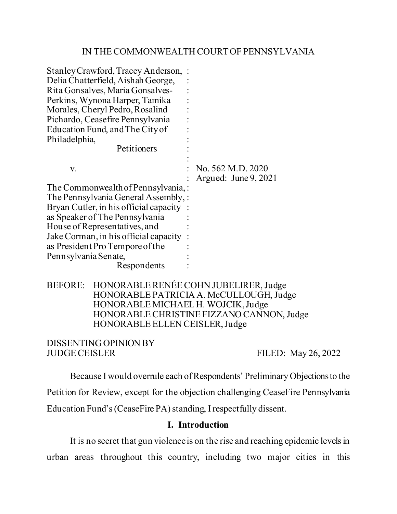### IN THE COMMONWEALTH COURT OF PENNSYLVANIA

| Stanley Crawford, Tracey Anderson,:    |                       |
|----------------------------------------|-----------------------|
| Delia Chatterfield, Aishah George,     |                       |
| Rita Gonsalves, Maria Gonsalves-       |                       |
| Perkins, Wynona Harper, Tamika         |                       |
| Morales, Cheryl Pedro, Rosalind        |                       |
| Pichardo, Ceasefire Pennsylvania       |                       |
| Education Fund, and The City of        |                       |
| Philadelphia,                          |                       |
| Petitioners                            |                       |
|                                        |                       |
| V.                                     | No. 562 M.D. 2020     |
|                                        | Argued: June $9,2021$ |
| The Commonwealth of Pennsylvania, :    |                       |
| The Pennsylvania General Assembly, :   |                       |
| Bryan Cutler, in his official capacity |                       |
| as Speaker of The Pennsylvania         |                       |
| House of Representatives, and          |                       |
| Jake Corman, in his official capacity  |                       |
| as President Pro Tempore of the        |                       |
| Pennsylvania Senate,                   |                       |
| Respondents                            |                       |
|                                        |                       |

## BEFORE: HONORABLE RENÉE COHN JUBELIRER, Judge HONORABLE PATRICIA A. McCULLOUGH, Judge HONORABLE MICHAEL H. WOJCIK, Judge HONORABLE CHRISTINE FIZZANO CANNON, Judge HONORABLE ELLEN CEISLER, Judge

# DISSENTING OPINION BY JUDGE CEISLER FILED: May 26, 2022

Because I would overrule each of Respondents' Preliminary Objections to the Petition for Review, except for the objection challenging CeaseFire Pennsylvania Education Fund's (CeaseFire PA) standing, I respectfully dissent.

### **I. Introduction**

It is no secret that gun violence is on the rise and reaching epidemic levels in urban areas throughout this country, including two major cities in this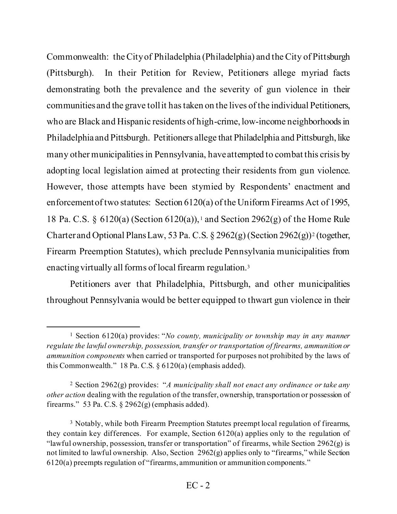Commonwealth: the City of Philadelphia (Philadelphia) and the City of Pittsburgh (Pittsburgh). In their Petition for Review, Petitioners allege myriad facts demonstrating both the prevalence and the severity of gun violence in their communities and the grave toll it has taken on the lives of the individual Petitioners, who are Black and Hispanic residents of high-crime, low-income neighborhoods in Philadelphia and Pittsburgh. Petitioners allege that Philadelphia and Pittsburgh, like many other municipalities in Pennsylvania, have attempted to combat this crisis by adopting local legislation aimed at protecting their residents from gun violence. However, those attempts have been stymied by Respondents' enactment and enforcement of two statutes: Section 6120(a) of the Uniform Firearms Act of 1995, 18 Pa. C.S. § 6120(a) (Section 6120(a)), [1](#page-1-0) and Section 2962(g) of the Home Rule Charter and Optional Plans Law, 53 Pa. C.S.  $\S 2962(g)$  $\S 2962(g)$  $\S 2962(g)$  (Section 2962(g))<sup>2</sup> (together, Firearm Preemption Statutes), which preclude Pennsylvania municipalities from enacting virtually all forms of local firearm regulation.[3](#page-1-2)

Petitioners aver that Philadelphia, Pittsburgh, and other municipalities throughout Pennsylvania would be better equipped to thwart gun violence in their

<span id="page-1-0"></span><sup>1</sup> Section 6120(a) provides: "*No county, municipality or township may in any manner regulate the lawful ownership, possession, transfer or transportation of firearms, ammunition or ammunition components* when carried or transported for purposes not prohibited by the laws of this Commonwealth." 18 Pa. C.S. § 6120(a) (emphasis added).

<span id="page-1-1"></span><sup>2</sup> Section 2962(g) provides: "*A municipality shall not enact any ordinance or take any other action* dealing with the regulation of the transfer, ownership, transportation or possession of firearms." 53 Pa. C.S.  $\S 2962(g)$  (emphasis added).

<span id="page-1-2"></span><sup>&</sup>lt;sup>3</sup> Notably, while both Firearm Preemption Statutes preempt local regulation of firearms, they contain key differences. For example, Section 6120(a) applies only to the regulation of "lawful ownership, possession, transfer or transportation" of firearms, while Section 2962(g) is not limited to lawful ownership. Also, Section 2962(g) applies only to "firearms," while Section 6120(a) preempts regulation of "firearms, ammunition or ammunition components."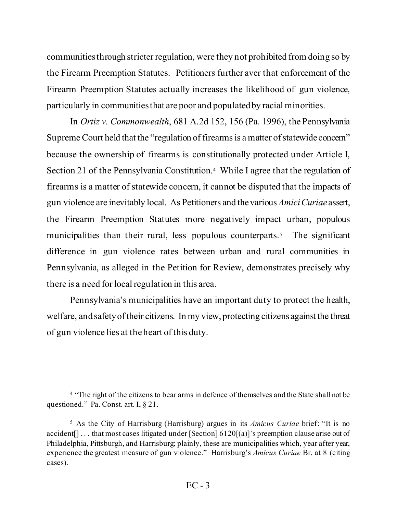communities through stricter regulation, were they not prohibited from doing so by the Firearm Preemption Statutes. Petitioners further aver that enforcement of the Firearm Preemption Statutes actually increases the likelihood of gun violence, particularly in communities that are poor and populated by racial minorities.

In *Ortiz v. Commonwealth*, 681 A.2d 152, 156 (Pa. 1996), the Pennsylvania Supreme Court held that the "regulation of firearms is a matter of statewide concern" because the ownership of firearms is constitutionally protected under Article I, Section 21 of the Pennsylvania Constitution.<sup>4</sup> While I agree that the regulation of firearms is a matter of statewide concern, it cannot be disputed that the impacts of gun violence are inevitably local. As Petitioners and the various *Amici Curiae* assert, the Firearm Preemption Statutes more negatively impact urban, populous municipalities than their rural, less populous counterparts.<sup>[5](#page-2-1)</sup> The significant difference in gun violence rates between urban and rural communities in Pennsylvania, as alleged in the Petition for Review, demonstrates precisely why there is a need for local regulation in this area.

Pennsylvania's municipalities have an important duty to protect the health, welfare, and safety of their citizens. In my view, protecting citizens against the threat of gun violence lies at the heart of this duty.

<span id="page-2-0"></span><sup>&</sup>lt;sup>4</sup> "The right of the citizens to bear arms in defence of themselves and the State shall not be questioned." Pa. Const. art. I, § 21.

<span id="page-2-1"></span><sup>5</sup> As the City of Harrisburg (Harrisburg) argues in its *Amicus Curiae* brief: "It is no accident[]... that most cases litigated under [Section]  $6120[(a)]$ 's preemption clause arise out of Philadelphia, Pittsburgh, and Harrisburg; plainly, these are municipalities which, year after year, experience the greatest measure of gun violence." Harrisburg's *Amicus Curiae* Br. at 8 (citing cases).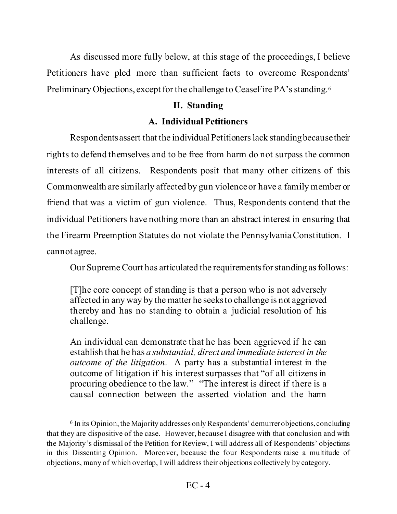As discussed more fully below, at this stage of the proceedings, I believe Petitioners have pled more than sufficient facts to overcome Respondents' Preliminary Objections, except for the challenge to CeaseFire PA's standing.<sup>[6](#page-3-0)</sup>

## **II. Standing**

# **A. Individual Petitioners**

Respondents assert that the individual Petitioners lack standing because their rights to defend themselves and to be free from harm do not surpass the common interests of all citizens. Respondents posit that many other citizens of this Commonwealth are similarly affected by gun violence or have a family member or friend that was a victim of gun violence. Thus, Respondents contend that the individual Petitioners have nothing more than an abstract interest in ensuring that the Firearm Preemption Statutes do not violate the Pennsylvania Constitution. I cannot agree.

Our Supreme Court has articulated the requirements for standing as follows:

[T]he core concept of standing is that a person who is not adversely affected in any way by the matter he seeks to challenge is not aggrieved thereby and has no standing to obtain a judicial resolution of his challenge.

An individual can demonstrate that he has been aggrieved if he can establish that he has *a substantial, direct and immediate interest in the outcome of the litigation*. A party has a substantial interest in the outcome of litigation if his interest surpasses that "of all citizens in procuring obedience to the law." "The interest is direct if there is a causal connection between the asserted violation and the harm

<span id="page-3-0"></span><sup>6</sup> In its Opinion, the Majority addresses only Respondents' demurrer objections, concluding that they are dispositive of the case. However, because I disagree with that conclusion and with the Majority's dismissal of the Petition for Review, I will address all of Respondents' objections in this Dissenting Opinion. Moreover, because the four Respondents raise a multitude of objections, many of which overlap, I will address their objections collectively by category.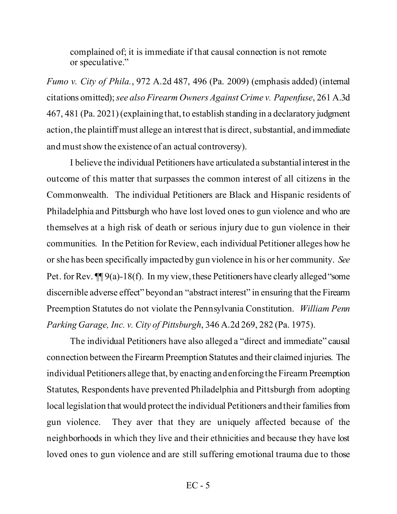complained of; it is immediate if that causal connection is not remote or speculative."

*Fumo v. City of Phila.*, 972 A.2d 487, 496 (Pa. 2009) (emphasis added) (internal citations omitted); *see also Firearm Owners Against Crime v. Papenfuse*, 261 A.3d 467, 481 (Pa. 2021)(explaining that, to establish standing in a declaratory judgment action, the plaintiff must allege an interest that is direct, substantial, and immediate and must show the existence of an actual controversy).

I believe the individual Petitioners have articulateda substantial interest in the outcome of this matter that surpasses the common interest of all citizens in the Commonwealth. The individual Petitioners are Black and Hispanic residents of Philadelphia and Pittsburgh who have lost loved ones to gun violence and who are themselves at a high risk of death or serious injury due to gun violence in their communities. In the Petition for Review, each individual Petitioner alleges how he or she has been specifically impacted by gun violence in his or her community. *See* Pet. for Rev.  $\P\P$  9(a)-18(f). In my view, these Petitioners have clearly alleged "some discernible adverse effect" beyond an "abstract interest" in ensuring that the Firearm Preemption Statutes do not violate the Pennsylvania Constitution. *William Penn Parking Garage, Inc. v. City of Pittsburgh*, 346 A.2d 269, 282 (Pa. 1975).

The individual Petitioners have also alleged a "direct and immediate" causal connection between the Firearm Preemption Statutes and their claimed injuries. The individual Petitioners allege that, by enacting and enforcing the Firearm Preemption Statutes, Respondents have prevented Philadelphia and Pittsburgh from adopting local legislation that would protect the individual Petitioners and their families from gun violence. They aver that they are uniquely affected because of the neighborhoods in which they live and their ethnicities and because they have lost loved ones to gun violence and are still suffering emotional trauma due to those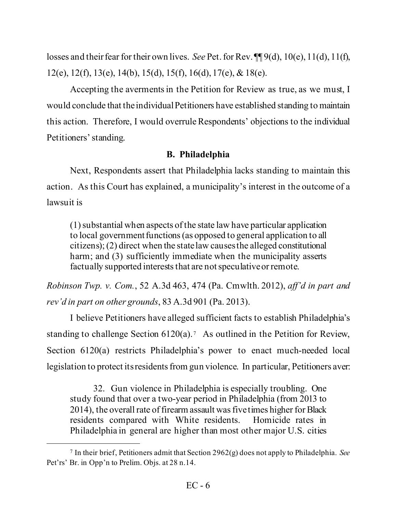losses and their fear for their own lives. *See* Pet. for Rev. ¶¶ 9(d), 10(e), 11(d), 11(f), 12(e), 12(f), 13(e), 14(b), 15(d), 15(f), 16(d), 17(e), & 18(e).

Accepting the averments in the Petition for Review as true, as we must, I would conclude that the individual Petitioners have established standing to maintain this action. Therefore, I would overrule Respondents' objections to the individual Petitioners' standing.

# **B. Philadelphia**

Next, Respondents assert that Philadelphia lacks standing to maintain this action. As this Court has explained, a municipality's interest in the outcome of a lawsuit is

(1) substantial when aspects of the state law have particular application to local government functions (as opposed to general application to all citizens); (2) direct when the state law causes the alleged constitutional harm; and (3) sufficiently immediate when the municipality asserts factually supported interests that are not speculative or remote.

*Robinson Twp. v. Com.*, 52 A.3d 463, 474 (Pa. Cmwlth. 2012), *aff'd in part and rev'd in part on other grounds*, 83 A.3d 901 (Pa. 2013).

I believe Petitioners have alleged sufficient facts to establish Philadelphia's standing to challenge Section  $6120(a)$ .<sup>[7](#page-5-0)</sup> As outlined in the Petition for Review, Section 6120(a) restricts Philadelphia's power to enact much-needed local legislation to protect its residents from gun violence. In particular, Petitioners aver:

32. Gun violence in Philadelphia is especially troubling. One study found that over a two-year period in Philadelphia (from 2013 to 2014), the overall rate of firearm assault was five times higher for Black residents compared with White residents. Homicide rates in Philadelphia in general are higher than most other major U.S. cities

<span id="page-5-0"></span><sup>7</sup> In their brief, Petitioners admit that Section 2962(g) does not apply to Philadelphia. *See* Pet'rs' Br. in Opp'n to Prelim. Objs. at 28 n.14.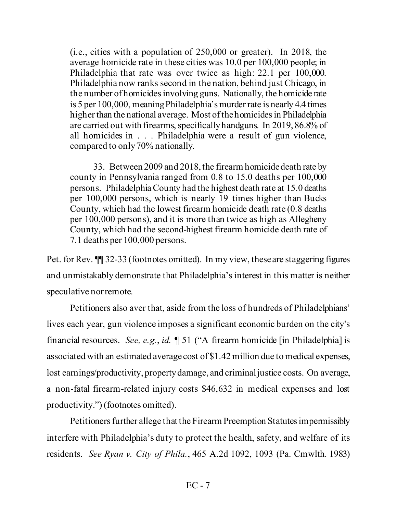(i.e., cities with a population of 250,000 or greater). In 2018, the average homicide rate in these cities was 10.0 per 100,000 people; in Philadelphia that rate was over twice as high: 22.1 per 100,000. Philadelphia now ranks second in the nation, behind just Chicago, in the number of homicides involving guns. Nationally, the homicide rate is 5 per 100,000, meaning Philadelphia's murder rate is nearly 4.4 times higher than the national average. Most of the homicides in Philadelphia are carried out with firearms, specifically handguns. In 2019, 86.8% of all homicides in . . . Philadelphia were a result of gun violence, compared to only 70% nationally.

33. Between 2009 and 2018, the firearm homicide death rate by county in Pennsylvania ranged from 0.8 to 15.0 deaths per 100,000 persons. Philadelphia County had the highest death rate at 15.0 deaths per 100,000 persons, which is nearly 19 times higher than Bucks County, which had the lowest firearm homicide death rate (0.8 deaths per 100,000 persons), and it is more than twice as high as Allegheny County, which had the second-highest firearm homicide death rate of 7.1 deaths per 100,000 persons.

Pet. for Rev. ¶¶ 32-33 (footnotes omitted). In my view, these are staggering figures and unmistakably demonstrate that Philadelphia's interest in this matter is neither speculative nor remote.

Petitioners also aver that, aside from the loss of hundreds of Philadelphians' lives each year, gun violence imposes a significant economic burden on the city's financial resources. *See, e.g.*, *id.* ¶ 51 ("A firearm homicide [in Philadelphia] is associated with an estimated average cost of \$1.42 million due to medical expenses, lost earnings/productivity, property damage, and criminal justice costs. On average, a non-fatal firearm-related injury costs \$46,632 in medical expenses and lost productivity.") (footnotes omitted).

Petitioners further allege that the Firearm Preemption Statutes impermissibly interfere with Philadelphia's duty to protect the health, safety, and welfare of its residents. *See Ryan v. City of Phila.*, 465 A.2d 1092, 1093 (Pa. Cmwlth. 1983)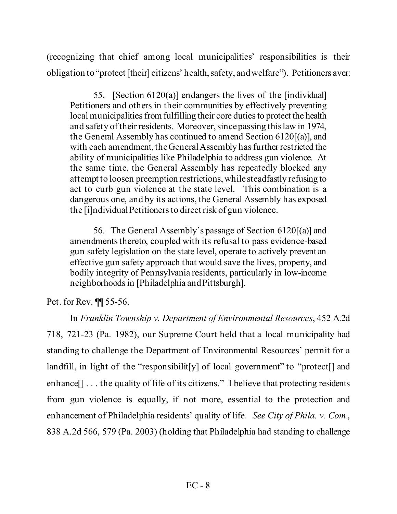(recognizing that chief among local municipalities' responsibilities is their obligation to "protect [their] citizens' health, safety, and welfare"). Petitioners aver:

55. [Section 6120(a)] endangers the lives of the [individual] Petitioners and others in their communities by effectively preventing local municipalities from fulfilling their core duties to protect the health and safety of their residents. Moreover, since passing this law in 1974, the General Assembly has continued to amend Section 6120[(a)], and with each amendment, the General Assembly has further restricted the ability of municipalities like Philadelphia to address gun violence. At the same time, the General Assembly has repeatedly blocked any attempt to loosen preemption restrictions, while steadfastly refusing to act to curb gun violence at the state level. This combination is a dangerous one, and by its actions, the General Assembly has exposed the [i]ndividual Petitioners to direct risk of gun violence.

56. The General Assembly's passage of Section 6120[(a)] and amendments thereto, coupled with its refusal to pass evidence-based gun safety legislation on the state level, operate to actively prevent an effective gun safety approach that would save the lives, property, and bodily integrity of Pennsylvania residents, particularly in low-income neighborhoods in [Philadelphia and Pittsburgh].

Pet. for Rev. ¶¶ 55-56.

In *Franklin Township v. Department of Environmental Resources*, 452 A.2d 718, 721-23 (Pa. 1982), our Supreme Court held that a local municipality had standing to challenge the Department of Environmental Resources' permit for a landfill, in light of the "responsibilit<sup>[y]</sup> of local government" to "protect<sup>[]</sup> and enhance [] . . . the quality of life of its citizens." I believe that protecting residents from gun violence is equally, if not more, essential to the protection and enhancement of Philadelphia residents' quality of life. *See City of Phila. v. Com.*, 838 A.2d 566, 579 (Pa. 2003) (holding that Philadelphia had standing to challenge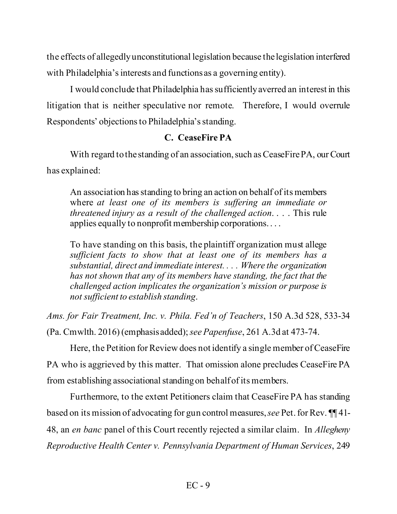the effects of allegedly unconstitutional legislation because the legislation interfered with Philadelphia's interests and functions as a governing entity).

I would conclude that Philadelphia has sufficiently averred an interest in this litigation that is neither speculative nor remote. Therefore, I would overrule Respondents' objections to Philadelphia's standing.

# **C. CeaseFire PA**

With regard to the standing of an association, such as CeaseFire PA, our Court has explained:

An association has standing to bring an action on behalf of its members where *at least one of its members is suffering an immediate or threatened injury as a result of the challenged action*. . . . This rule applies equally to nonprofit membership corporations. . . .

To have standing on this basis, the plaintiff organization must allege *sufficient facts to show that at least one of its members has a substantial, direct and immediate interest. . . . Where the organization has not shown that any of its members have standing, the fact that the challenged action implicates the organization's mission or purpose is not sufficient to establish standing*.

*Ams. for Fair Treatment, Inc. v. Phila. Fed'n of Teachers*, 150 A.3d 528, 533-34 (Pa. Cmwlth. 2016)(emphasis added); *see Papenfuse*, 261 A.3d at 473-74.

Here, the Petition for Review does not identify a single member of CeaseFire PA who is aggrieved by this matter. That omission alone precludes CeaseFire PA from establishing associational standingon behalf of its members.

Furthermore, to the extent Petitioners claim that CeaseFire PA has standing based on its mission of advocating for gun control measures, *see* Pet. for Rev. ¶¶ 41- 48, an *en banc* panel of this Court recently rejected a similar claim. In *Allegheny Reproductive Health Center v. Pennsylvania Department of Human Services*, 249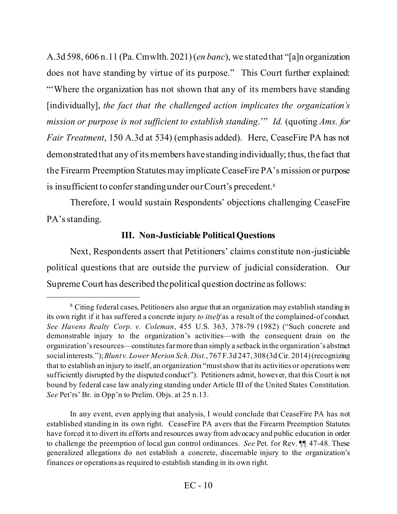A.3d 598, 606 n.11 (Pa. Cmwlth. 2021) (*en banc*), we stated that "[a]n organization does not have standing by virtue of its purpose." This Court further explained: "Where the organization has not shown that any of its members have standing [individually], *the fact that the challenged action implicates the organization's mission or purpose is not sufficient to establish standing*.'" *Id.* (quoting *Ams. for Fair Treatment*, 150 A.3d at 534) (emphasis added). Here, CeaseFire PA has not demonstratedthat any of its members have standing individually; thus, the fact that the Firearm Preemption Statutes may implicate CeaseFire PA's mission or purpose is insufficient to confer standing under our Court's precedent.<sup>[8](#page-9-0)</sup>

Therefore, I would sustain Respondents' objections challenging CeaseFire PA's standing.

# **III. Non-Justiciable Political Questions**

Next, Respondents assert that Petitioners' claims constitute non-justiciable political questions that are outside the purview of judicial consideration. Our Supreme Court has described the political question doctrine as follows:

<span id="page-9-0"></span><sup>8</sup> Citing federal cases, Petitioners also argue that an organization may establish standing in its own right if it has suffered a concrete injury *to itself* as a result of the complained-of conduct. *See Havens Realty Corp. v. Coleman*, 455 U.S. 363, 378-79 (1982) ("Such concrete and demonstrable injury to the organization's activities—with the consequent drain on the organization's resources—constitutes far more than simply a setback in the organization's abstract social interests."); *Blunt v. Lower Merion Sch. Dist.*, 767 F.3d 247, 308 (3d Cir. 2014) (recognizing that to establish an injury to itself, an organization "must show that its activities or operations were sufficiently disrupted by the disputed conduct"). Petitioners admit, however, that this Court is not bound by federal case law analyzing standing under Article III of the United States Constitution. *See* Pet'rs' Br. in Opp'n to Prelim. Objs. at 25 n.13.

In any event, even applying that analysis, I would conclude that CeaseFire PA has not established standing in its own right. CeaseFire PA avers that the Firearm Preemption Statutes have forced it to divert its efforts and resources away from advocacy and public education in order to challenge the preemption of local gun control ordinances. *See* Pet. for Rev. ¶¶ 47-48. These generalized allegations do not establish a concrete, discernable injury to the organization's finances or operations as required to establish standing in its own right.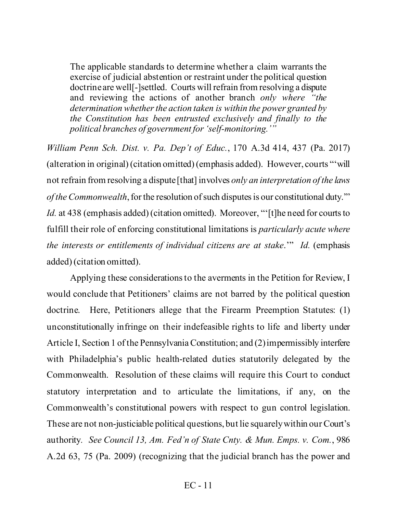The applicable standards to determine whether a claim warrants the exercise of judicial abstention or restraint under the political question doctrine are well[-]settled. Courts will refrain from resolving a dispute and reviewing the actions of another branch *only where "the determination whether the action taken is within the power granted by the Constitution has been entrusted exclusively and finally to the political branches of government for 'self-monitoring.'"*

*William Penn Sch. Dist. v. Pa. Dep't of Educ.*, 170 A.3d 414, 437 (Pa. 2017) (alteration in original) (citation omitted) (emphasis added). However, courts "'will not refrain from resolving a dispute [that] involves *only an interpretation of the laws of the Commonwealth*, for the resolution of such disputes is our constitutional duty.'" *Id.* at 438 (emphasis added) (citation omitted). Moreover, "[t] he need for courts to fulfill their role of enforcing constitutional limitations is *particularly acute where the interests or entitlements of individual citizens are at stake*.'" *Id.* (emphasis added) (citation omitted).

Applying these considerations to the averments in the Petition for Review, I would conclude that Petitioners' claims are not barred by the political question doctrine. Here, Petitioners allege that the Firearm Preemption Statutes: (1) unconstitutionally infringe on their indefeasible rights to life and liberty under Article I, Section 1 of the Pennsylvania Constitution; and (2) impermissibly interfere with Philadelphia's public health-related duties statutorily delegated by the Commonwealth. Resolution of these claims will require this Court to conduct statutory interpretation and to articulate the limitations, if any, on the Commonwealth's constitutional powers with respect to gun control legislation. These are not non-justiciable political questions, but lie squarely within our Court's authority*. See Council 13, Am. Fed'n of State Cnty. & Mun. Emps. v. Com.*, 986 A.2d 63, 75 (Pa. 2009) (recognizing that the judicial branch has the power and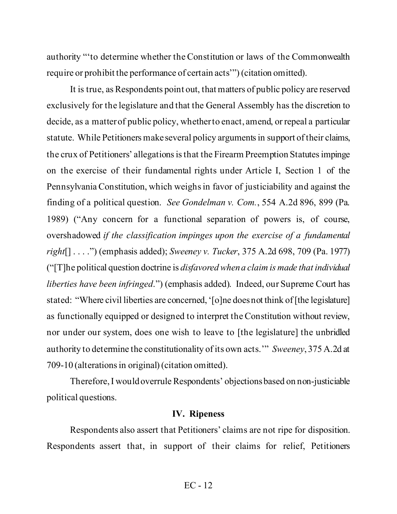authority "'to determine whether the Constitution or laws of the Commonwealth require or prohibit the performance of certain acts'") (citation omitted).

It is true, as Respondents point out, that matters of public policy are reserved exclusively for the legislature and that the General Assembly has the discretion to decide, as a matter of public policy, whether to enact, amend, or repeal a particular statute. While Petitioners make several policy arguments in support of their claims, the crux of Petitioners' allegations is that the Firearm Preemption Statutesimpinge on the exercise of their fundamental rights under Article I, Section 1 of the Pennsylvania Constitution, which weighs in favor of justiciability and against the finding of a political question. *See Gondelman v. Com.*, 554 A.2d 896, 899 (Pa. 1989) ("Any concern for a functional separation of powers is, of course, overshadowed *if the classification impinges upon the exercise of a fundamental right*[] . . . .") (emphasis added); *Sweeney v. Tucker*, 375 A.2d 698, 709 (Pa. 1977) ("[T]he political question doctrine is *disfavored when a claim is made that individual liberties have been infringed*.") (emphasis added). Indeed, our Supreme Court has stated: "Where civil liberties are concerned, '[o]ne does not think of [the legislature] as functionally equipped or designed to interpret the Constitution without review, nor under our system, does one wish to leave to [the legislature] the unbridled authority to determine the constitutionality of its own acts.'" *Sweeney*, 375 A.2d at 709-10 (alterations in original) (citation omitted).

Therefore, I would overrule Respondents' objectionsbased on non-justiciable political questions.

#### **IV. Ripeness**

Respondents also assert that Petitioners' claims are not ripe for disposition. Respondents assert that, in support of their claims for relief, Petitioners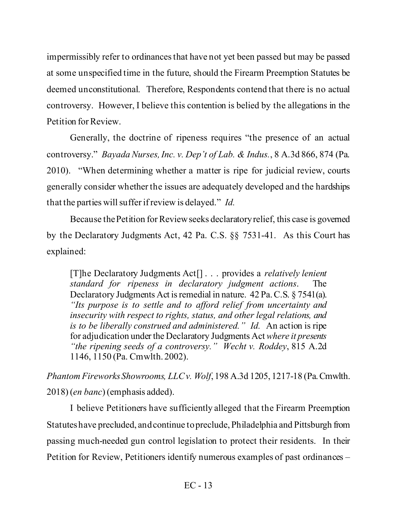impermissibly refer to ordinances that have not yet been passed but may be passed at some unspecified time in the future, should the Firearm Preemption Statutes be deemed unconstitutional. Therefore, Respondents contend that there is no actual controversy. However, I believe this contention is belied by the allegations in the Petition for Review.

Generally, the doctrine of ripeness requires "the presence of an actual controversy." *Bayada Nurses, Inc. v. Dep't of Lab. & Indus.*, 8 A.3d 866, 874 (Pa. 2010). "When determining whether a matter is ripe for judicial review, courts generally consider whether the issues are adequately developed and the hardships that the parties will suffer if review is delayed." *Id.*

Because the Petition for Review seeks declaratory relief, this case is governed by the Declaratory Judgments Act, 42 Pa. C.S. §§ 7531-41. As this Court has explained:

[T]he Declaratory Judgments Act[] . . . provides a *relatively lenient standard for ripeness in declaratory judgment actions*. The Declaratory Judgments Act is remedial in nature. 42 Pa. C.S. § 7541(a). *"Its purpose is to settle and to afford relief from uncertainty and insecurity with respect to rights, status, and other legal relations, and is to be liberally construed and administered." Id.* An action is ripe for adjudication under the Declaratory Judgments Act *where it presents "the ripening seeds of a controversy." Wecht v. Roddey*, 815 A.2d 1146, 1150 (Pa. Cmwlth. 2002).

*Phantom Fireworks Showrooms, LLC v. Wolf*, 198 A.3d 1205, 1217-18 (Pa. Cmwlth. 2018) (*en banc*) (emphasis added).

I believe Petitioners have sufficiently alleged that the Firearm Preemption Statuteshave precluded, and continue to preclude, Philadelphia and Pittsburgh from passing much-needed gun control legislation to protect their residents. In their Petition for Review, Petitioners identify numerous examples of past ordinances –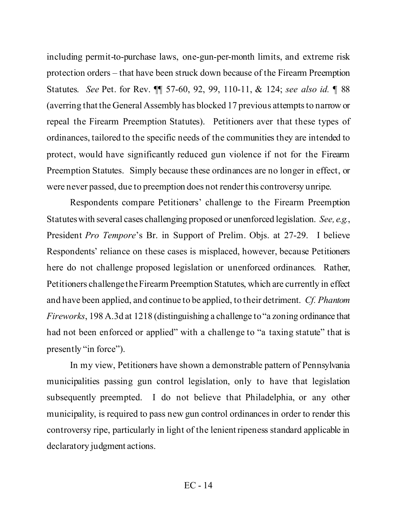including permit-to-purchase laws, one-gun-per-month limits, and extreme risk protection orders – that have been struck down because of the Firearm Preemption Statutes. *See* Pet. for Rev. ¶¶ 57-60, 92, 99, 110-11, & 124; *see also id.* ¶ 88 (averring that the General Assembly has blocked 17 previous attempts to narrow or repeal the Firearm Preemption Statutes). Petitioners aver that these types of ordinances, tailored to the specific needs of the communities they are intended to protect, would have significantly reduced gun violence if not for the Firearm Preemption Statutes. Simply because these ordinances are no longer in effect, or were never passed, due to preemption does not render this controversy unripe.

Respondents compare Petitioners' challenge to the Firearm Preemption Statuteswith several cases challenging proposed or unenforced legislation. *See, e.g.*, President *Pro Tempore*'s Br. in Support of Prelim. Objs. at 27-29. I believe Respondents' reliance on these cases is misplaced, however, because Petitioners here do not challenge proposed legislation or unenforced ordinances. Rather, Petitioners challenge the Firearm Preemption Statutes, which are currently in effect and have been applied, and continue to be applied, to their detriment. *Cf. Phantom Fireworks*, 198 A.3d at 1218 (distinguishing a challenge to "a zoning ordinance that had not been enforced or applied" with a challenge to "a taxing statute" that is presently "in force").

In my view, Petitioners have shown a demonstrable pattern of Pennsylvania municipalities passing gun control legislation, only to have that legislation subsequently preempted. I do not believe that Philadelphia, or any other municipality, is required to pass new gun control ordinances in order to render this controversy ripe, particularly in light of the lenient ripeness standard applicable in declaratory judgment actions.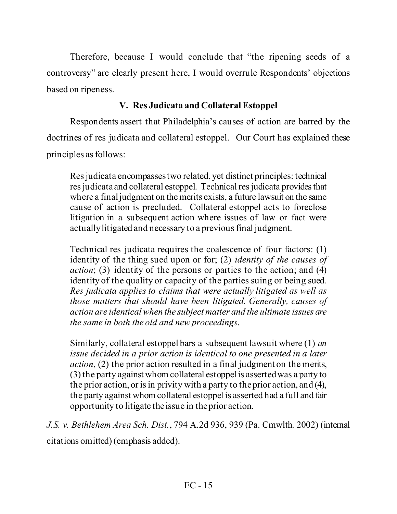Therefore, because I would conclude that "the ripening seeds of a controversy" are clearly present here, I would overrule Respondents' objections based on ripeness.

# **V. Res Judicata and Collateral Estoppel**

Respondents assert that Philadelphia's causes of action are barred by the doctrines of res judicata and collateral estoppel. Our Court has explained these principles as follows:

Res judicata encompasses two related, yet distinct principles: technical res judicata and collateral estoppel. Technical res judicata provides that where a final judgment on the merits exists, a future lawsuit on the same cause of action is precluded. Collateral estoppel acts to foreclose litigation in a subsequent action where issues of law or fact were actually litigated and necessary to a previous final judgment.

Technical res judicata requires the coalescence of four factors: (1) identity of the thing sued upon or for; (2) *identity of the causes of action*; (3) identity of the persons or parties to the action; and (4) identity of the quality or capacity of the parties suing or being sued. *Res judicata applies to claims that were actually litigated as well as those matters that should have been litigated. Generally, causes of action are identical when the subject matter and the ultimate issues are the same in both the old and new proceedings*.

Similarly, collateral estoppel bars a subsequent lawsuit where (1) *an issue decided in a prior action is identical to one presented in a later action*, (2) the prior action resulted in a final judgment on the merits, (3) the party against whom collateral estoppel is asserted was a party to the prior action, or is in privity with a party to the prior action, and (4), the party against whom collateral estoppel is asserted had a full and fair opportunity to litigate the issue in the prior action.

*J.S. v. Bethlehem Area Sch. Dist.*, 794 A.2d 936, 939 (Pa. Cmwlth. 2002) (internal citations omitted) (emphasis added).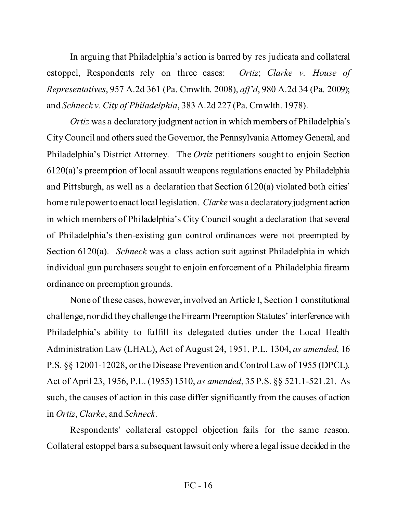In arguing that Philadelphia's action is barred by res judicata and collateral estoppel, Respondents rely on three cases: *Ortiz*; *Clarke v. House of Representatives*, 957 A.2d 361 (Pa. Cmwlth. 2008), *aff'd*, 980 A.2d 34 (Pa. 2009); and *Schneck v. City of Philadelphia*, 383 A.2d 227 (Pa. Cmwlth. 1978).

*Ortiz* was a declaratory judgment action in which members of Philadelphia's City Council and others sued the Governor, the Pennsylvania Attorney General, and Philadelphia's District Attorney. The *Ortiz* petitioners sought to enjoin Section 6120(a)'s preemption of local assault weapons regulations enacted by Philadelphia and Pittsburgh, as well as a declaration that Section 6120(a) violated both cities' home rule power to enact local legislation. *Clarke* was a declaratory judgment action in which members of Philadelphia's City Council sought a declaration that several of Philadelphia's then-existing gun control ordinances were not preempted by Section 6120(a). *Schneck* was a class action suit against Philadelphia in which individual gun purchasers sought to enjoin enforcement of a Philadelphia firearm ordinance on preemption grounds.

None of these cases, however, involved an Article I, Section 1 constitutional challenge, nor did they challenge the Firearm Preemption Statutes' interference with Philadelphia's ability to fulfill its delegated duties under the Local Health Administration Law (LHAL), Act of August 24, 1951, P.L. 1304, *as amended*, 16 P.S. §§ 12001-12028, or the Disease Prevention and Control Law of 1955 (DPCL), Act of April 23, 1956, P.L. (1955) 1510, *as amended*, 35 P.S. §§ 521.1-521.21. As such, the causes of action in this case differ significantly from the causes of action in *Ortiz*, *Clarke*, and *Schneck*.

Respondents' collateral estoppel objection fails for the same reason. Collateral estoppel bars a subsequent lawsuit only where a legal issue decided in the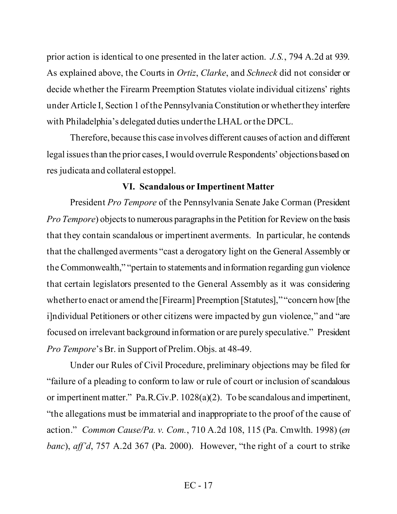prior action is identical to one presented in the later action. *J.S.*, 794 A.2d at 939. As explained above, the Courts in *Ortiz*, *Clarke*, and *Schneck* did not consider or decide whether the Firearm Preemption Statutes violate individual citizens' rights under Article I, Section 1 of the Pennsylvania Constitution or whether they interfere with Philadelphia's delegated duties under the LHAL or the DPCL.

Therefore, because this case involves different causes of action and different legal issues than the prior cases, I would overrule Respondents' objectionsbased on res judicata and collateral estoppel.

### **VI. Scandalous or Impertinent Matter**

President *Pro Tempore* of the Pennsylvania Senate Jake Corman (President *Pro Tempore*) objects to numerous paragraphs in the Petition for Review on the basis that they contain scandalous or impertinent averments. In particular, he contends that the challenged averments "cast a derogatory light on the General Assembly or the Commonwealth," "pertain to statements and information regarding gun violence that certain legislators presented to the General Assembly as it was considering whether to enact or amend the [Firearm] Preemption [Statutes]," "concern how [the i]ndividual Petitioners or other citizens were impacted by gun violence," and "are focused on irrelevant background information or are purely speculative." President *Pro Tempore*'s Br. in Support of Prelim. Objs. at 48-49.

Under our Rules of Civil Procedure, preliminary objections may be filed for "failure of a pleading to conform to law or rule of court or inclusion of scandalous or impertinent matter." Pa.R.Civ.P. 1028(a)(2). To be scandalous and impertinent, "the allegations must be immaterial and inappropriate to the proof of the cause of action." *Common Cause/Pa. v. Com.*, 710 A.2d 108, 115 (Pa. Cmwlth. 1998) (*en banc*), *aff'd*, 757 A.2d 367 (Pa. 2000). However, "the right of a court to strike

### EC - 17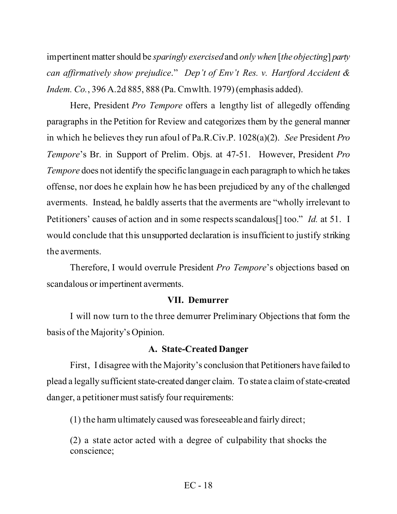impertinent matter should be *sparingly exercised*and *only when* [*the objecting*] *party can affirmatively show prejudice*." *Dep't of Env't Res. v. Hartford Accident & Indem. Co.*, 396 A.2d 885, 888 (Pa. Cmwlth. 1979)(emphasis added).

Here, President *Pro Tempore* offers a lengthy list of allegedly offending paragraphs in the Petition for Review and categorizes them by the general manner in which he believes they run afoul of Pa.R.Civ.P. 1028(a)(2). *See* President *Pro Tempore*'s Br. in Support of Prelim. Objs. at 47-51. However, President *Pro Tempore* does not identify the specific language in each paragraph to which he takes offense, nor does he explain how he has been prejudiced by any of the challenged averments. Instead, he baldly asserts that the averments are "wholly irrelevant to Petitioners' causes of action and in some respects scandalous[] too." *Id.* at 51. I would conclude that this unsupported declaration is insufficient to justify striking the averments.

Therefore, I would overrule President *Pro Tempore*'s objections based on scandalous or impertinent averments.

#### **VII. Demurrer**

I will now turn to the three demurrer Preliminary Objections that form the basis of the Majority's Opinion.

#### **A. State-Created Danger**

First, I disagree with the Majority's conclusion that Petitioners have failed to plead a legally sufficient state-created danger claim. To state a claim of state-created danger, a petitioner must satisfy four requirements:

(1) the harm ultimately caused was foreseeable and fairly direct;

(2) a state actor acted with a degree of culpability that shocks the conscience;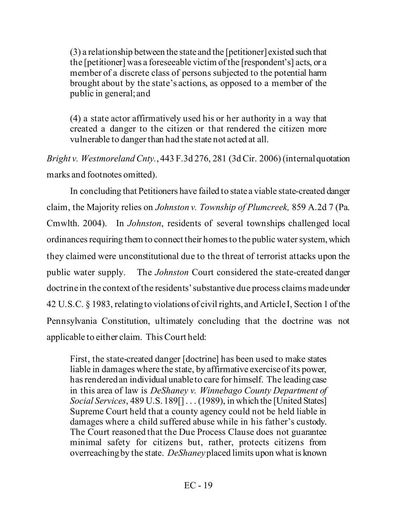(3) a relationship between the state and the [petitioner] existed such that the [petitioner] was a foreseeable victim of the [respondent's] acts, or a member of a discrete class of persons subjected to the potential harm brought about by the state's actions, as opposed to a member of the public in general; and

(4) a state actor affirmatively used his or her authority in a way that created a danger to the citizen or that rendered the citizen more vulnerable to danger than had the state not acted at all.

*Bright v. Westmoreland Cnty.*, 443 F.3d 276, 281 (3d Cir. 2006) (internal quotation marks and footnotes omitted).

In concluding that Petitioners have failed to state a viable state-created danger claim, the Majority relies on *Johnston v. Township of Plumcreek,* 859 A.2d 7 (Pa. Cmwlth. 2004). In *Johnston*, residents of several townships challenged local ordinances requiring them to connect their homes to the public water system, which they claimed were unconstitutional due to the threat of terrorist attacks upon the public water supply. The *Johnston* Court considered the state-created danger doctrine in the context of the residents' substantive due process claims made under 42 U.S.C. § 1983, relating to violations of civil rights, and Article I, Section 1 of the Pennsylvania Constitution, ultimately concluding that the doctrine was not applicable to either claim. This Court held:

First, the state-created danger [doctrine] has been used to make states liable in damages where the state, by affirmative exercise of its power, has rendered an individual unable to care for himself. The leading case in this area of law is *DeShaney v. Winnebago County Department of Social Services*, 489 U.S. 189[] . . . (1989), in which the [United States] Supreme Court held that a county agency could not be held liable in damages where a child suffered abuse while in his father's custody. The Court reasoned that the Due Process Clause does not guarantee minimal safety for citizens but, rather, protects citizens from overreaching by the state. *DeShaney*placed limits upon what is known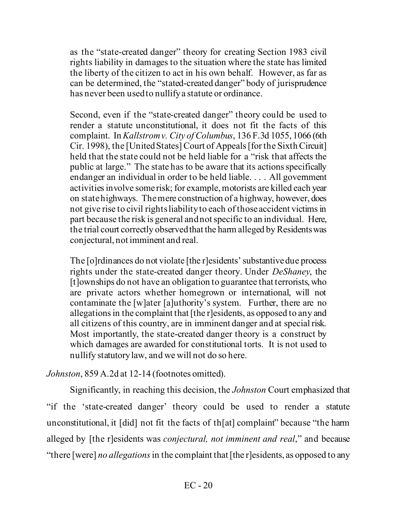as the "state-created danger" theory for creating Section 1983 civil rights liability in damages to the situation where the state has limited the liberty of the citizen to act in his own behalf. However, as far as can be determined, the "stated-created danger" body of jurisprudence has never been used to nullify a statute or ordinance.

Second, even if the "state-created danger" theory could be used to render a statute unconstitutional, it does not fit the facts of this complaint. In *Kallstrom v. City of Columbus*, 136 F.3d 1055, 1066 (6th Cir. 1998), the [United States] Court of Appeals [for the Sixth Circuit] held that the state could not be held liable for a "risk that affects the public at large." The state has to be aware that its actions specifically endanger an individual in order to be held liable. . . . All government activities involve some risk; for example, motorists are killed each year on state highways. The mere construction of a highway, however, does not give rise to civil rights liability to each of those accident victims in part because the risk is general and not specific to an individual. Here, the trial court correctly observed that the harm alleged by Residents was conjectural, not imminent and real.

The [o]rdinances do not violate [the r]esidents' substantive due process rights under the state-created danger theory. Under *DeShaney*, the [t]ownships do not have an obligation to guarantee that terrorists, who are private actors whether homegrown or international, will not contaminate the [w]ater [a]uthority's system. Further, there are no allegations in the complaint that [the r]esidents, as opposed to any and all citizens of this country, are in imminent danger and at special risk. Most importantly, the state-created danger theory is a construct by which damages are awarded for constitutional torts. It is not used to nullify statutory law, and we will not do so here.

*Johnston*, 859 A.2d at 12-14 (footnotes omitted).

Significantly, in reaching this decision, the *Johnston* Court emphasized that "if the 'state-created danger' theory could be used to render a statute unconstitutional, it [did] not fit the facts of th[at] complaint" because "the harm alleged by [the r]esidents was *conjectural, not imminent and real*," and because "there [were] *no allegations*in the complaint that [the r]esidents, as opposed to any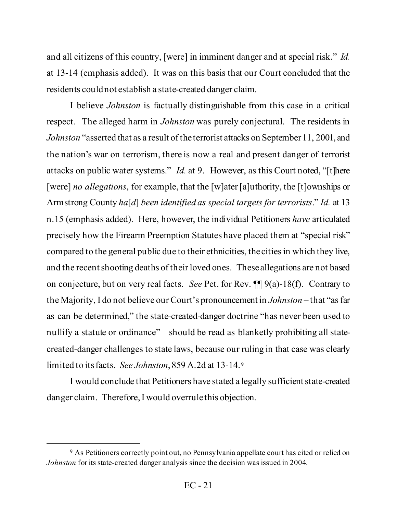and all citizens of this country, [were] in imminent danger and at special risk." *Id.* at 13-14 (emphasis added). It was on this basis that our Court concluded that the residents could not establish a state-created danger claim.

I believe *Johnston* is factually distinguishable from this case in a critical respect. The alleged harm in *Johnston* was purely conjectural. The residents in *Johnston* "asserted that as a result of the terrorist attacks on September 11, 2001, and the nation's war on terrorism, there is now a real and present danger of terrorist attacks on public water systems." *Id.* at 9. However, as this Court noted, "[t]here [were] *no allegations*, for example, that the [w]ater [a]uthority, the [t]ownships or Armstrong County *ha*[*d*] *been identified as special targets for terrorists*." *Id.* at 13 n.15 (emphasis added). Here, however, the individual Petitioners *have* articulated precisely how the Firearm Preemption Statutes have placed them at "special risk" compared to the general public due to their ethnicities, the cities in which they live, and the recent shooting deaths of their loved ones. These allegations are not based on conjecture, but on very real facts. *See* Pet. for Rev. ¶¶ 9(a)-18(f). Contrary to the Majority, I do not believe our Court's pronouncement in *Johnston* – that "as far as can be determined," the state-created-danger doctrine "has never been used to nullify a statute or ordinance" – should be read as blanketly prohibiting all statecreated-danger challenges to state laws, because our ruling in that case was clearly limited to its facts. *See Johnston*, 859 A.2d at 13-14. [9](#page-20-0)

I would conclude that Petitioners have stated a legally sufficient state-created danger claim. Therefore, I would overrule this objection.

<span id="page-20-0"></span><sup>&</sup>lt;sup>9</sup> As Petitioners correctly point out, no Pennsylvania appellate court has cited or relied on *Johnston* for its state-created danger analysis since the decision was issued in 2004.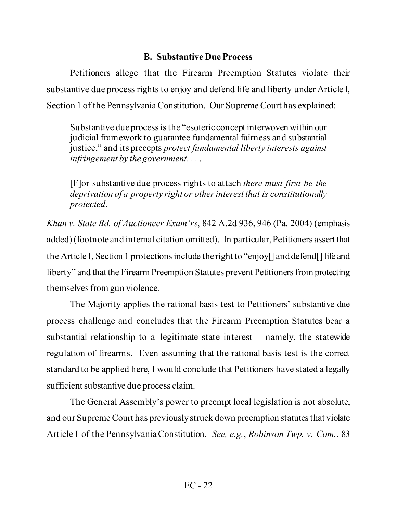# **B. Substantive Due Process**

Petitioners allege that the Firearm Preemption Statutes violate their substantive due process rights to enjoy and defend life and liberty under Article I, Section 1 of the Pennsylvania Constitution. Our Supreme Court has explained:

Substantive due process is the "esoteric concept interwoven within our judicial framework to guarantee fundamental fairness and substantial justice," and its precepts *protect fundamental liberty interests against infringement by the government*. . . .

[F]or substantive due process rights to attach *there must first be the deprivation of a property right or other interest that is constitutionally protected*.

*Khan v. State Bd. of Auctioneer Exam'rs*, 842 A.2d 936, 946 (Pa. 2004) (emphasis added) (footnote and internal citation omitted). In particular, Petitioners assert that the Article I, Section 1 protections include the right to "enjoy[] and defend[] life and liberty" and that the Firearm Preemption Statutes prevent Petitioners from protecting themselves from gun violence.

The Majority applies the rational basis test to Petitioners' substantive due process challenge and concludes that the Firearm Preemption Statutes bear a substantial relationship to a legitimate state interest – namely, the statewide regulation of firearms. Even assuming that the rational basis test is the correct standard to be applied here, I would conclude that Petitioners have stated a legally sufficient substantive due process claim.

The General Assembly's power to preempt local legislation is not absolute, and our Supreme Court has previously struck down preemption statutes that violate Article I of the Pennsylvania Constitution. *See, e.g.*, *Robinson Twp. v. Com.*, 83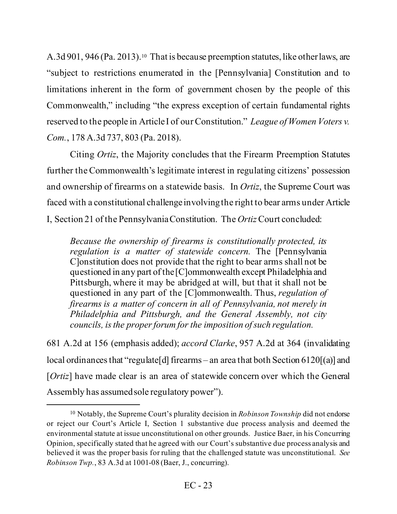A.3d 901, 946 (Pa. 2013).<sup>10</sup> That is because preemption statutes, like other laws, are "subject to restrictions enumerated in the [Pennsylvania] Constitution and to limitations inherent in the form of government chosen by the people of this Commonwealth," including "the express exception of certain fundamental rights reserved to the people in Article I of our Constitution." *League of Women Voters v. Com.*, 178 A.3d 737, 803 (Pa. 2018).

Citing *Ortiz*, the Majority concludes that the Firearm Preemption Statutes further the Commonwealth's legitimate interest in regulating citizens' possession and ownership of firearms on a statewide basis. In *Ortiz*, the Supreme Court was faced with a constitutional challenge involvingthe right to bear arms under Article I, Section 21 of the Pennsylvania Constitution. The *Ortiz*Court concluded:

*Because the ownership of firearms is constitutionally protected, its regulation is a matter of statewide concern.* The [Pennsylvania C]onstitution does not provide that the right to bear arms shall not be questioned in any part of the [C]ommonwealth except Philadelphia and Pittsburgh, where it may be abridged at will, but that it shall not be questioned in any part of the [C]ommonwealth. Thus, *regulation of firearms is a matter of concern in all of Pennsylvania, not merely in Philadelphia and Pittsburgh, and the General Assembly, not city councils, is the proper forum for the imposition of such regulation.*

681 A.2d at 156 (emphasis added); *accord Clarke*, 957 A.2d at 364 (invalidating local ordinances that "regulate<sup>[d]</sup> firearms – an area that both Section 6120<sup>[(a)]</sup> and [*Ortiz*] have made clear is an area of statewide concern over which the General Assembly has assumed sole regulatory power").

<span id="page-22-0"></span><sup>10</sup> Notably, the Supreme Court's plurality decision in *Robinson Township* did not endorse or reject our Court's Article I, Section 1 substantive due process analysis and deemed the environmental statute at issue unconstitutional on other grounds. Justice Baer, in his Concurring Opinion, specifically stated that he agreed with our Court's substantive due process analysis and believed it was the proper basis for ruling that the challenged statute was unconstitutional. *See Robinson Twp.*, 83 A.3d at 1001-08 (Baer, J., concurring).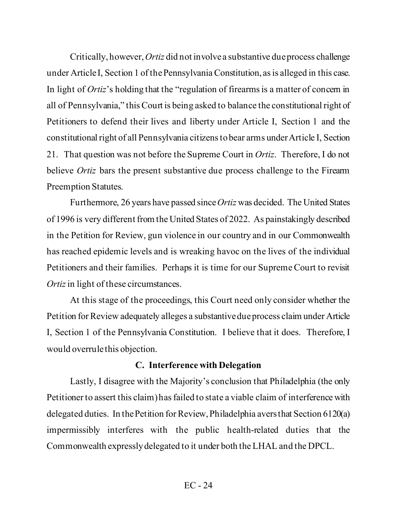Critically, however, *Ortiz* did not involve a substantive due process challenge under Article I, Section 1 of the Pennsylvania Constitution, as is alleged in this case. In light of *Ortiz*'s holding that the "regulation of firearms is a matter of concern in all of Pennsylvania," this Court is being asked to balance the constitutional right of Petitioners to defend their lives and liberty under Article I, Section 1 and the constitutional right of all Pennsylvania citizens to bear arms under Article I, Section 21. That question was not before the Supreme Court in *Ortiz*. Therefore, I do not believe *Ortiz* bars the present substantive due process challenge to the Firearm Preemption Statutes.

Furthermore, 26 years have passed since *Ortiz* was decided. The United States of 1996 is very different from the United States of 2022. As painstakingly described in the Petition for Review, gun violence in our country and in our Commonwealth has reached epidemic levels and is wreaking havoc on the lives of the individual Petitioners and their families. Perhaps it is time for our Supreme Court to revisit *Ortiz*in light of these circumstances.

At this stage of the proceedings, this Court need only consider whether the Petition for Review adequately alleges a substantive due process claim under Article I, Section 1 of the Pennsylvania Constitution. I believe that it does. Therefore, I would overrule this objection.

### **C. Interference with Delegation**

Lastly, I disagree with the Majority's conclusion that Philadelphia (the only Petitioner to assert this claim) has failed to state a viable claim of interference with delegated duties. In the Petition for Review, Philadelphia aversthat Section 6120(a) impermissibly interferes with the public health-related duties that the Commonwealth expressly delegated to it under both the LHAL and the DPCL.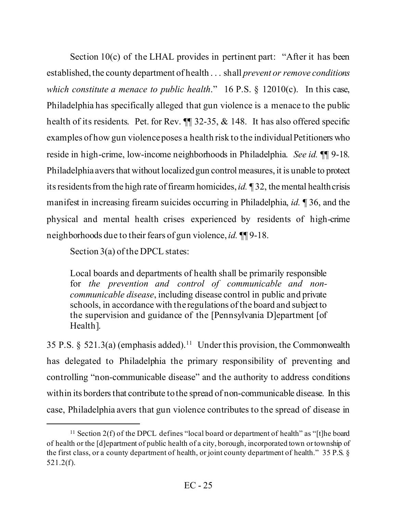Section 10(c) of the LHAL provides in pertinent part: "After it has been established, the county department of health . . . shall *prevent or remove conditions which constitute a menace to public health.*" 16 P.S. § 12010(c). In this case, Philadelphia has specifically alleged that gun violence is a menace to the public health of its residents. Pet. for Rev.  $\P$  32-35, & 148. It has also offered specific examples of how gun violence poses a health risk to the individual Petitioners who reside in high-crime, low-income neighborhoods in Philadelphia. *See id.* ¶¶ 9-18. Philadelphia avers that without localized gun control measures, it is unable to protect its residents from the high rate of firearm homicides, *id.* ¶ 32, the mental health crisis manifest in increasing firearm suicides occurring in Philadelphia, *id.* ¶ 36, and the physical and mental health crises experienced by residents of high-crime neighborhoods due to their fears of gun violence, *id.* ¶¶ 9-18.

Section 3(a) of the DPCL states:

Local boards and departments of health shall be primarily responsible for *the prevention and control of communicable and noncommunicable disease*, including disease control in public and private schools, in accordance with the regulations of the board and subject to the supervision and guidance of the [Pennsylvania D]epartment [of Health].

35 P.S.  $\S$  521.3(a) (emphasis added).<sup>[11](#page-24-0)</sup> Under this provision, the Commonwealth has delegated to Philadelphia the primary responsibility of preventing and controlling "non-communicable disease" and the authority to address conditions within its borders that contribute to the spread of non-communicable disease. In this case, Philadelphia avers that gun violence contributes to the spread of disease in

<span id="page-24-0"></span><sup>&</sup>lt;sup>11</sup> Section 2(f) of the DPCL defines "local board or department of health" as "[t]he board of health or the [d]epartment of public health of a city, borough, incorporated town or township of the first class, or a county department of health, or joint county department of health." 35 P.S. § 521.2(f).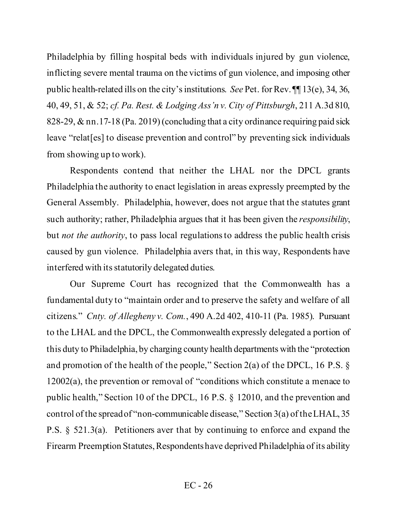Philadelphia by filling hospital beds with individuals injured by gun violence, inflicting severe mental trauma on the victims of gun violence, and imposing other public health-related ills on the city's institutions. *See* Pet. for Rev. ¶¶ 13(e), 34, 36, 40, 49, 51, & 52; *cf. Pa. Rest. & Lodging Ass'n v. City of Pittsburgh*, 211 A.3d 810, 828-29, & nn.17-18 (Pa. 2019) (concluding that a city ordinance requiring paid sick leave "relat[es] to disease prevention and control" by preventing sick individuals from showing up to work).

Respondents contend that neither the LHAL nor the DPCL grants Philadelphia the authority to enact legislation in areas expressly preempted by the General Assembly. Philadelphia, however, does not argue that the statutes grant such authority; rather, Philadelphia argues that it has been given the *responsibility*, but *not the authority*, to pass local regulations to address the public health crisis caused by gun violence. Philadelphia avers that, in this way, Respondents have interfered with its statutorily delegated duties.

Our Supreme Court has recognized that the Commonwealth has a fundamental duty to "maintain order and to preserve the safety and welfare of all citizens." *Cnty. of Allegheny v. Com.*, 490 A.2d 402, 410-11 (Pa. 1985). Pursuant to the LHAL and the DPCL, the Commonwealth expressly delegated a portion of this duty to Philadelphia, by charging county health departments with the "protection and promotion of the health of the people," Section 2(a) of the DPCL, 16 P.S.  $\S$ 12002(a), the prevention or removal of "conditions which constitute a menace to public health," Section 10 of the DPCL, 16 P.S. § 12010, and the prevention and control of the spread of "non-communicable disease," Section 3(a) of the LHAL, 35 P.S. § 521.3(a). Petitioners aver that by continuing to enforce and expand the Firearm Preemption Statutes, Respondents have deprived Philadelphia of its ability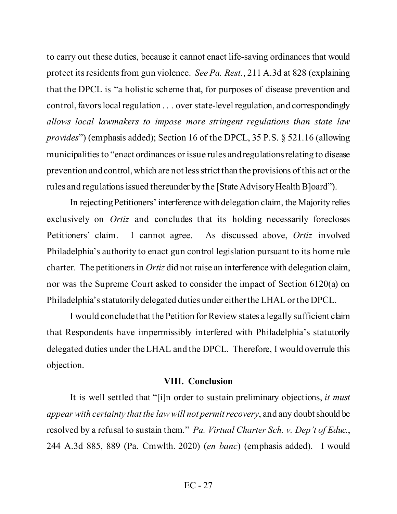to carry out these duties, because it cannot enact life-saving ordinances that would protect itsresidents from gun violence. *See Pa. Rest.*, 211 A.3d at 828 (explaining that the DPCL is "a holistic scheme that, for purposes of disease prevention and control, favors local regulation . . . over state-level regulation, and correspondingly *allows local lawmakers to impose more stringent regulations than state law provides*") (emphasis added); Section 16 of the DPCL, 35 P.S. § 521.16 (allowing municipalities to "enact ordinances or issue rules and regulations relating to disease prevention and control, which are not less strict than the provisions of this act or the rules and regulations issued thereunder by the [State Advisory Health B]oard").

In rejecting Petitioners' interference with delegation claim, the Majority relies exclusively on *Ortiz* and concludes that its holding necessarily forecloses Petitioners' claim. I cannot agree. As discussed above, *Ortiz* involved Philadelphia's authority to enact gun control legislation pursuant to its home rule charter. The petitioners in *Ortiz* did not raise an interference with delegation claim, nor was the Supreme Court asked to consider the impact of Section 6120(a) on Philadelphia's statutorily delegated duties under either the LHAL or the DPCL.

I would conclude that the Petition for Review states a legally sufficient claim that Respondents have impermissibly interfered with Philadelphia's statutorily delegated duties under the LHAL and the DPCL. Therefore, I would overrule this objection.

#### **VIII. Conclusion**

It is well settled that "[i]n order to sustain preliminary objections, *it must appear with certainty that the law will not permit recovery*, and any doubt should be resolved by a refusal to sustain them." *Pa. Virtual Charter Sch. v. Dep't of Educ.*, 244 A.3d 885, 889 (Pa. Cmwlth. 2020) (*en banc*) (emphasis added). I would